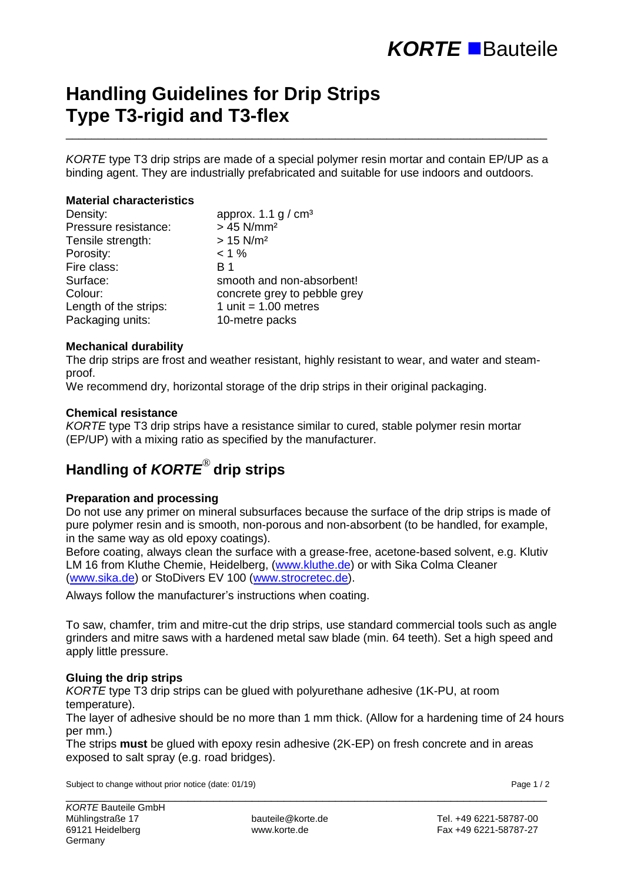# **Handling Guidelines for Drip Strips Type T3-rigid and T3-flex**

*KORTE* type T3 drip strips are made of a special polymer resin mortar and contain EP/UP as a binding agent. They are industrially prefabricated and suitable for use indoors and outdoors.

\_\_\_\_\_\_\_\_\_\_\_\_\_\_\_\_\_\_\_\_\_\_\_\_\_\_\_\_\_\_\_\_\_\_\_\_\_\_\_\_\_\_\_\_\_\_\_\_\_\_\_\_\_\_\_\_\_\_\_\_\_\_\_\_\_\_\_\_\_\_\_\_\_\_\_

#### **Material characteristics**

| Density:              | approx. 1.1 $g / cm3$        |  |
|-----------------------|------------------------------|--|
| Pressure resistance:  | $> 45$ N/mm <sup>2</sup>     |  |
| Tensile strength:     | $> 15$ N/m <sup>2</sup>      |  |
| Porosity:             | $< 1 \%$                     |  |
| Fire class:           | <b>B</b> 1                   |  |
| Surface:              | smooth and non-absorbent!    |  |
| Colour:               | concrete grey to pebble grey |  |
| Length of the strips: | 1 unit = $1.00$ metres       |  |
| Packaging units:      | 10-metre packs               |  |

#### **Mechanical durability**

The drip strips are frost and weather resistant, highly resistant to wear, and water and steamproof.

We recommend dry, horizontal storage of the drip strips in their original packaging.

#### **Chemical resistance**

*KORTE* type T3 drip strips have a resistance similar to cured, stable polymer resin mortar (EP/UP) with a mixing ratio as specified by the manufacturer.

### **Handling of** *KORTE*® **drip strips**

#### **Preparation and processing**

Do not use any primer on mineral subsurfaces because the surface of the drip strips is made of pure polymer resin and is smooth, non-porous and non-absorbent (to be handled, for example, in the same way as old epoxy coatings).

Before coating, always clean the surface with a grease-free, acetone-based solvent, e.g. Klutiv LM 16 from Kluthe Chemie, Heidelberg, [\(www.kluthe.de\)](http://www.kluthe.de/) or with Sika Colma Cleaner [\(www.sika.de\)](http://www.sika.de/) or StoDivers EV 100 [\(www.strocretec.de\)](http://www.strocretec.de/).

Always follow the manufacturer's instructions when coating.

To saw, chamfer, trim and mitre-cut the drip strips, use standard commercial tools such as angle grinders and mitre saws with a hardened metal saw blade (min. 64 teeth). Set a high speed and apply little pressure.

#### **Gluing the drip strips**

*KORTE* type T3 drip strips can be glued with polyurethane adhesive (1K-PU, at room temperature).

The layer of adhesive should be no more than 1 mm thick. (Allow for a hardening time of 24 hours per mm.)

The strips **must** be glued with epoxy resin adhesive (2K-EP) on fresh concrete and in areas exposed to salt spray (e.g. road bridges).

\_\_\_\_\_\_\_\_\_\_\_\_\_\_\_\_\_\_\_\_\_\_\_\_\_\_\_\_\_\_\_\_\_\_\_\_\_\_\_\_\_\_\_\_\_\_\_\_\_\_\_\_\_\_\_\_\_\_\_\_\_\_\_\_\_\_\_\_\_\_\_\_\_\_\_

Subject to change without prior notice (date: 01/19) Subject to change 1/2